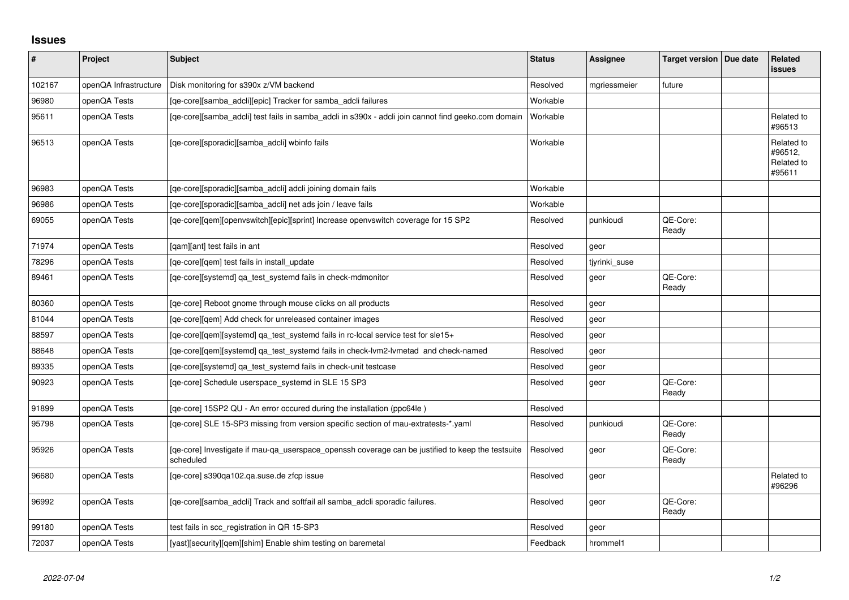## **Issues**

| $\vert$ # | Project               | <b>Subject</b>                                                                                                 | <b>Status</b> | Assignee      | Target version   Due date | Related<br><b>issues</b>                      |
|-----------|-----------------------|----------------------------------------------------------------------------------------------------------------|---------------|---------------|---------------------------|-----------------------------------------------|
| 102167    | openQA Infrastructure | Disk monitoring for s390x z/VM backend                                                                         | Resolved      | mgriessmeier  | future                    |                                               |
| 96980     | openQA Tests          | [qe-core][samba_adcli][epic] Tracker for samba_adcli failures                                                  | Workable      |               |                           |                                               |
| 95611     | openQA Tests          | [qe-core][samba_adcli] test fails in samba_adcli in s390x - adcli join cannot find geeko.com domain            | Workable      |               |                           | Related to<br>#96513                          |
| 96513     | openQA Tests          | [qe-core][sporadic][samba_adcli] wbinfo fails                                                                  | Workable      |               |                           | Related to<br>#96512,<br>Related to<br>#95611 |
| 96983     | openQA Tests          | [qe-core][sporadic][samba_adcli] adcli joining domain fails                                                    | Workable      |               |                           |                                               |
| 96986     | openQA Tests          | [qe-core][sporadic][samba_adcli] net ads join / leave fails                                                    | Workable      |               |                           |                                               |
| 69055     | openQA Tests          | [qe-core][qem][openvswitch][epic][sprint] Increase openvswitch coverage for 15 SP2                             | Resolved      | punkioudi     | QE-Core:<br>Ready         |                                               |
| 71974     | openQA Tests          | [gam][ant] test fails in ant                                                                                   | Resolved      | geor          |                           |                                               |
| 78296     | openQA Tests          | [qe-core][qem] test fails in install_update                                                                    | Resolved      | tiyrinki suse |                           |                                               |
| 89461     | openQA Tests          | [qe-core][systemd] qa_test_systemd fails in check-mdmonitor                                                    | Resolved      | geor          | QE-Core:<br>Ready         |                                               |
| 80360     | openQA Tests          | [qe-core] Reboot gnome through mouse clicks on all products                                                    | Resolved      | geor          |                           |                                               |
| 81044     | openQA Tests          | [qe-core][qem] Add check for unreleased container images                                                       | Resolved      | geor          |                           |                                               |
| 88597     | openQA Tests          | [qe-core][qem][systemd] qa_test_systemd fails in rc-local service test for sle15+                              | Resolved      | geor          |                           |                                               |
| 88648     | openQA Tests          | [ge-core][gem][systemd] ga test systemd fails in check-lvm2-lvmetad and check-named                            | Resolved      | geor          |                           |                                               |
| 89335     | openQA Tests          | [qe-core][systemd] qa_test_systemd fails in check-unit testcase                                                | Resolved      | geor          |                           |                                               |
| 90923     | openQA Tests          | [qe-core] Schedule userspace_systemd in SLE 15 SP3                                                             | Resolved      | geor          | QE-Core:<br>Ready         |                                               |
| 91899     | openQA Tests          | [qe-core] 15SP2 QU - An error occured during the installation (ppc64le)                                        | Resolved      |               |                           |                                               |
| 95798     | openQA Tests          | [qe-core] SLE 15-SP3 missing from version specific section of mau-extratests-*.yaml                            | Resolved      | punkioudi     | QE-Core:<br>Ready         |                                               |
| 95926     | openQA Tests          | [ge-core] Investigate if mau-ga userspace openssh coverage can be justified to keep the testsuite<br>scheduled | Resolved      | geor          | QE-Core:<br>Ready         |                                               |
| 96680     | openQA Tests          | [ge-core] s390ga102.ga.suse.de zfcp issue                                                                      | Resolved      | geor          |                           | Related to<br>#96296                          |
| 96992     | openQA Tests          | [qe-core][samba_adcli] Track and softfail all samba_adcli sporadic failures.                                   | Resolved      | geor          | QE-Core:<br>Ready         |                                               |
| 99180     | openQA Tests          | test fails in scc_registration in QR 15-SP3                                                                    | Resolved      | geor          |                           |                                               |
| 72037     | openQA Tests          | [yast][security][gem][shim] Enable shim testing on baremetal                                                   | Feedback      | hrommel1      |                           |                                               |